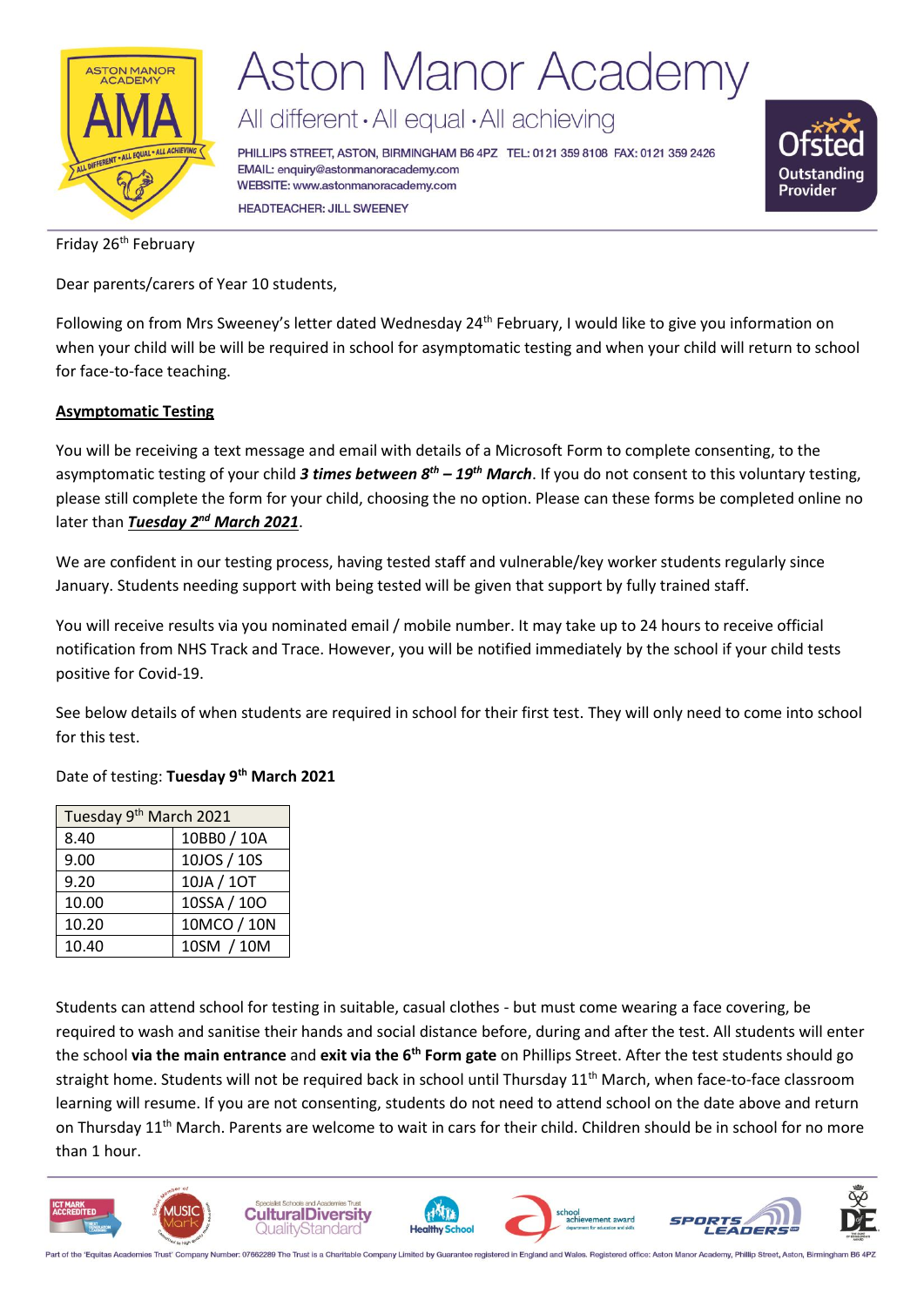

# **Aston Manor Academy**

All different · All equal · All achieving

PHILLIPS STREET, ASTON, BIRMINGHAM B6 4PZ TEL: 0121 359 8108 FAX: 0121 359 2426 EMAIL: enquiry@astonmanoracademy.com WEBSITE: www.astonmanoracademy.com **HEADTEACHER: JILL SWEENEY** 



Friday 26<sup>th</sup> February

Dear parents/carers of Year 10 students,

Following on from Mrs Sweeney's letter dated Wednesday 24<sup>th</sup> February, I would like to give you information on when your child will be will be required in school for asymptomatic testing and when your child will return to school for face-to-face teaching.

### **Asymptomatic Testing**

You will be receiving a text message and email with details of a Microsoft Form to complete consenting, to the asymptomatic testing of your child *3 times between 8th – 19th March*. If you do not consent to this voluntary testing, please still complete the form for your child, choosing the no option. Please can these forms be completed online no later than *Tuesday 2nd March 2021*.

We are confident in our testing process, having tested staff and vulnerable/key worker students regularly since January. Students needing support with being tested will be given that support by fully trained staff.

You will receive results via you nominated email / mobile number. It may take up to 24 hours to receive official notification from NHS Track and Trace. However, you will be notified immediately by the school if your child tests positive for Covid-19.

See below details of when students are required in school for their first test. They will only need to come into school for this test.

### Date of testing: **Tuesday 9 th March 2021**

| Tuesday 9 <sup>th</sup> March 2021 |             |  |  |
|------------------------------------|-------------|--|--|
| 8.40                               | 10BB0 / 10A |  |  |
| 9.00                               | 10JOS / 10S |  |  |
| 9.20                               | 10JA / 10T  |  |  |
| 10.00                              | 10SSA / 10O |  |  |
| 10.20                              | 10MCO / 10N |  |  |
| 10.40                              | 10SM / 10M  |  |  |

Students can attend school for testing in suitable, casual clothes - but must come wearing a face covering, be required to wash and sanitise their hands and social distance before, during and after the test. All students will enter the school **via the main entrance** and **exit via the 6th Form gate** on Phillips Street. After the test students should go straight home. Students will not be required back in school until Thursday 11<sup>th</sup> March, when face-to-face classroom learning will resume. If you are not consenting, students do not need to attend school on the date above and return on Thursday 11<sup>th</sup> March. Parents are welcome to wait in cars for their child. Children should be in school for no more than 1 hour.